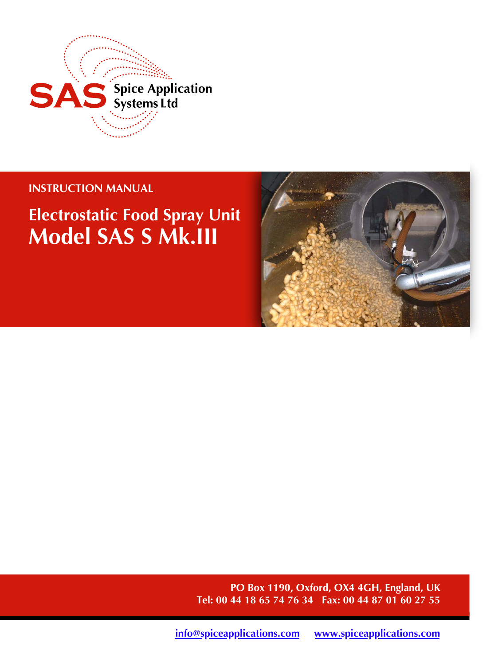

## **INSTRUCTION MANUAL**

# **Electrostatic Food Spray Unit Model SAS S Mk.III**



**PO Box 1190, Oxford, OX4 4GH, England, UK Tel: 00 44 18 65 74 76 34 Fax: 00 44 87 01 60 27 55**

**[info@spiceapplications.com](mailto:info@spiceapplications.com) [www.spiceapplications.com](http://www.spiceapplications.com)**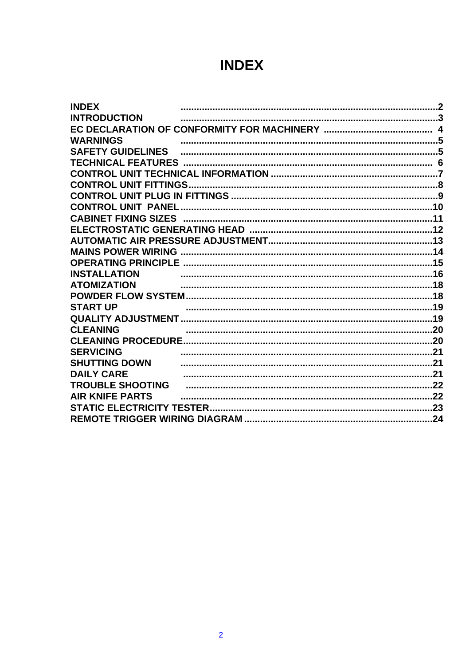## **INDEX**

| <b>INDEX</b>             |  |
|--------------------------|--|
| <b>INTRODUCTION</b>      |  |
|                          |  |
| <b>WARNINGS</b>          |  |
| <b>SAFETY GUIDELINES</b> |  |
|                          |  |
|                          |  |
|                          |  |
|                          |  |
|                          |  |
|                          |  |
|                          |  |
|                          |  |
|                          |  |
|                          |  |
| <b>INSTALLATION</b>      |  |
| <b>ATOMIZATION</b>       |  |
|                          |  |
| <b>START UP</b>          |  |
|                          |  |
| <b>CLEANING</b>          |  |
|                          |  |
| <b>SERVICING</b>         |  |
| <b>SHUTTING DOWN</b>     |  |
| <b>DAILY CARE</b>        |  |
| <b>TROUBLE SHOOTING</b>  |  |
| <b>AIR KNIFE PARTS</b>   |  |
|                          |  |
|                          |  |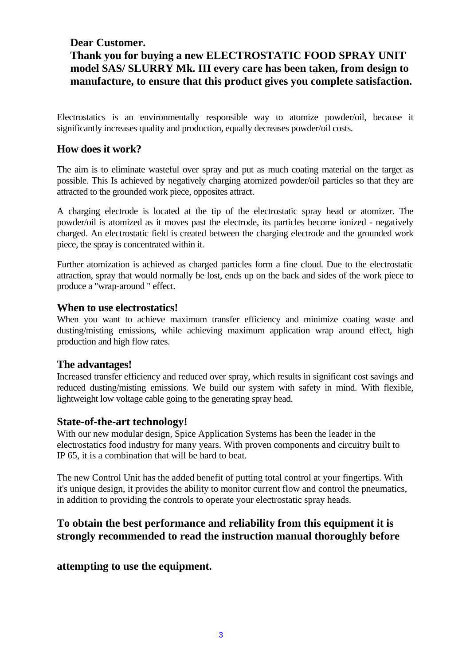## **Dear Customer. Thank you for buying a new ELECTROSTATIC FOOD SPRAY UNIT model SAS/ SLURRY Mk. III every care has been taken, from design to manufacture, to ensure that this product gives you complete satisfaction.**

Electrostatics is an environmentally responsible way to atomize powder/oil, because it significantly increases quality and production, equally decreases powder/oil costs.

## **How does it work?**

The aim is to eliminate wasteful over spray and put as much coating material on the target as possible. This Is achieved by negatively charging atomized powder/oil particles so that they are attracted to the grounded work piece, opposites attract.

A charging electrode is located at the tip of the electrostatic spray head or atomizer. The powder/oil is atomized as it moves past the electrode, its particles become ionized - negatively charged. An electrostatic field is created between the charging electrode and the grounded work piece, the spray is concentrated within it.

Further atomization is achieved as charged particles form a fine cloud. Due to the electrostatic attraction, spray that would normally be lost, ends up on the back and sides of the work piece to produce a "wrap-around " effect.

#### **When to use electrostatics!**

When you want to achieve maximum transfer efficiency and minimize coating waste and dusting/misting emissions, while achieving maximum application wrap around effect, high production and high flow rates.

## **The advantages!**

Increased transfer efficiency and reduced over spray, which results in significant cost savings and reduced dusting/misting emissions. We build our system with safety in mind. With flexible, lightweight low voltage cable going to the generating spray head.

## **State-of-the-art technology!**

With our new modular design, Spice Application Systems has been the leader in the electrostatics food industry for many years. With proven components and circuitry built to IP 65, it is a combination that will be hard to beat.

The new Control Unit has the added benefit of putting total control at your fingertips. With it's unique design, it provides the ability to monitor current flow and control the pneumatics, in addition to providing the controls to operate your electrostatic spray heads.

## **To obtain the best performance and reliability from this equipment it is strongly recommended to read the instruction manual thoroughly before**

## **attempting to use the equipment.**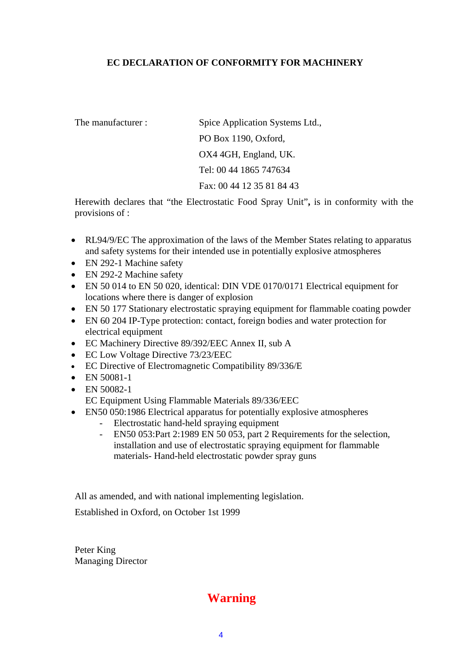#### **EC DECLARATION OF CONFORMITY FOR MACHINERY**

The manufacturer : Spice Application Systems Ltd., PO Box 1190, Oxford, OX4 4GH, England, UK. Tel: 00 44 1865 747634 Fax: 00 44 12 35 81 84 43

Herewith declares that "the Electrostatic Food Spray Unit"**,** is in conformity with the provisions of :

- RL94/9/EC The approximation of the laws of the Member States relating to apparatus and safety systems for their intended use in potentially explosive atmospheres
- EN 292-1 Machine safety
- EN 292-2 Machine safety
- EN 50 014 to EN 50 020, identical: DIN VDE 0170/0171 Electrical equipment for locations where there is danger of explosion
- EN 50 177 Stationary electrostatic spraying equipment for flammable coating powder
- EN 60 204 IP-Type protection: contact, foreign bodies and water protection for electrical equipment
- EC Machinery Directive 89/392/EEC Annex II, sub A
- EC Low Voltage Directive 73/23/EEC
- EC Directive of Electromagnetic Compatibility 89/336/E
- EN 50081-1
- EN 50082-1

EC Equipment Using Flammable Materials 89/336/EEC

- EN50 050:1986 Electrical apparatus for potentially explosive atmospheres
	- Electrostatic hand-held spraying equipment
	- EN50 053:Part 2:1989 EN 50 053, part 2 Requirements for the selection, installation and use of electrostatic spraying equipment for flammable materials- Hand-held electrostatic powder spray guns

All as amended, and with national implementing legislation.

Established in Oxford, on October 1st 1999

Peter King Managing Director

## **Warning**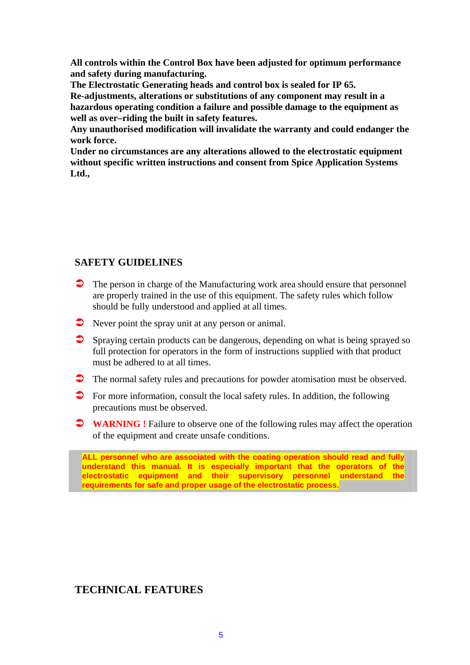**All controls within the Control Box have been adjusted for optimum performance and safety during manufacturing.** 

**The Electrostatic Generating heads and control box is sealed for IP 65.** 

**Re-adjustments, alterations or substitutions of any component may result in a hazardous operating condition a failure and possible damage to the equipment as well as over–riding the built in safety features.** 

**Any unauthorised modification will invalidate the warranty and could endanger the work force.** 

**Under no circumstances are any alterations allowed to the electrostatic equipment without specific written instructions and consent from Spice Application Systems Ltd.,** 

## **SAFETY GUIDELINES**

- The person in charge of the Manufacturing work area should ensure that personnel are properly trained in the use of this equipment. The safety rules which follow should be fully understood and applied at all times.
- Never point the spray unit at any person or animal.
- ! Spraying certain products can be dangerous, depending on what is being sprayed so full protection for operators in the form of instructions supplied with that product must be adhered to at all times.
- ! The normal safety rules and precautions for powder atomisation must be observed.
- $\triangleright$  For more information, consult the local safety rules. In addition, the following precautions must be observed.
- **T WARNING** ! Failure to observe one of the following rules may affect the operation of the equipment and create unsafe conditions.

**ALL personnel who are associated with the coating operation should read and fully understand this manual. It is especially important that the operators of the electrostatic equipment and their supervisory personnel understand the requirements for safe and proper usage of the electrostatic process.**

## **TECHNICAL FEATURES**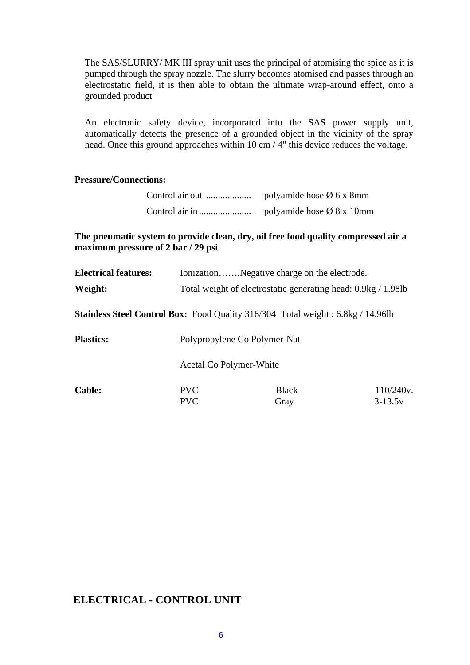The SAS/SLURRY/ MK III spray unit uses the principal of atomising the spice as it is pumped through the spray nozzle. The slurry becomes atomised and passes through an electrostatic field, it is then able to obtain the ultimate wrap-around effect, onto a grounded product

An electronic safety device, incorporated into the SAS power supply unit, automatically detects the presence of a grounded object in the vicinity of the spray head. Once this ground approaches within 10 cm / 4" this device reduces the voltage.

#### **Pressure/Connections:**

| Control air out | polyamide hose $\varnothing$ 6 x 8mm  |
|-----------------|---------------------------------------|
|                 | polyamide hose $\varnothing$ 8 x 10mm |

**The pneumatic system to provide clean, dry, oil free food quality compressed air a maximum pressure of 2 bar / 29 psi** 

| <b>Electrical features:</b> |                                                               | IonizationNegative charge on the electrode.                                            |           |
|-----------------------------|---------------------------------------------------------------|----------------------------------------------------------------------------------------|-----------|
| Weight:                     | Total weight of electrostatic generating head: 0.9kg / 1.98lb |                                                                                        |           |
|                             |                                                               | <b>Stainless Steel Control Box:</b> Food Quality 316/304 Total weight: 6.8kg / 14.96lb |           |
| <b>Plastics:</b>            | Polypropylene Co Polymer-Nat                                  |                                                                                        |           |
|                             | Acetal Co Polymer-White                                       |                                                                                        |           |
| <b>Cable:</b>               | <b>PVC</b>                                                    | <b>Black</b>                                                                           | 110/240v. |
|                             | <b>PVC</b>                                                    | Gray                                                                                   | $3-13.5v$ |

## **ELECTRICAL - CONTROL UNIT**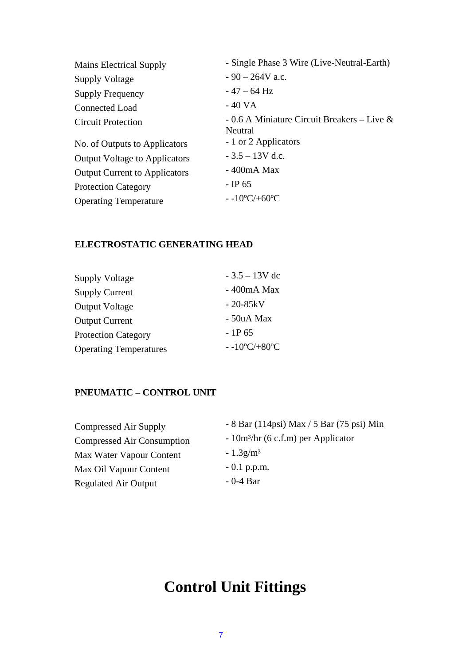| - Single Phase 3 Wire (Live-Neutral-Earth)                |
|-----------------------------------------------------------|
| $-90 - 264V$ a.c.                                         |
| $-47 - 64$ Hz                                             |
| - 40 VA                                                   |
| - 0.6 A Miniature Circuit Breakers – Live $\&$<br>Neutral |
| - 1 or 2 Applicators                                      |
| $-3.5 - 13V$ d.c.                                         |
| $-400mA$ Max                                              |
| $-$ IP 65                                                 |
| $-10^{\circ}C/+60^{\circ}C$                               |
|                                                           |

## **ELECTROSTATIC GENERATING HEAD**

| <b>Supply Voltage</b>         | $-3.5 - 13V$ dc             |
|-------------------------------|-----------------------------|
| <b>Supply Current</b>         | - 400mA Max                 |
| <b>Output Voltage</b>         | $-20-85kV$                  |
| <b>Output Current</b>         | - 50uA Max                  |
| <b>Protection Category</b>    | $-1P_{65}$                  |
| <b>Operating Temperatures</b> | $-10^{\circ}C/+80^{\circ}C$ |

## **PNEUMATIC – CONTROL UNIT**

| Compressed Air Supply       | - 8 Bar (114psi) Max / 5 Bar (75 psi) Min |
|-----------------------------|-------------------------------------------|
| Compressed Air Consumption  | $-10m3/hr$ (6 c.f.m) per Applicator       |
| Max Water Vapour Content    | $-1.3$ g/m <sup>3</sup>                   |
| Max Oil Vapour Content      | $-0.1$ p.p.m.                             |
| <b>Regulated Air Output</b> | $-0-4$ Bar                                |
|                             |                                           |

## **Control Unit Fittings**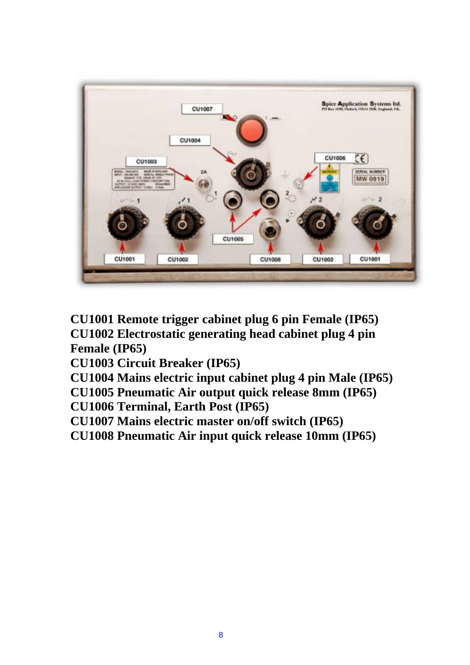

**CU1001 Remote trigger cabinet plug 6 pin Female (IP65) CU1002 Electrostatic generating head cabinet plug 4 pin Female (IP65)** 

**CU1003 Circuit Breaker (IP65)** 

**CU1004 Mains electric input cabinet plug 4 pin Male (IP65)** 

**CU1005 Pneumatic Air output quick release 8mm (IP65)** 

**CU1006 Terminal, Earth Post (IP65)** 

**CU1007 Mains electric master on/off switch (IP65)** 

**CU1008 Pneumatic Air input quick release 10mm (IP65)**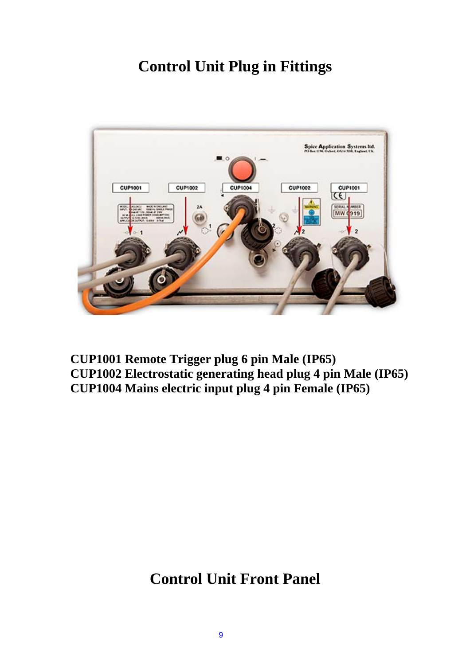## **Control Unit Plug in Fittings**



**CUP1001 Remote Trigger plug 6 pin Male (IP65) CUP1002 Electrostatic generating head plug 4 pin Male (IP65) CUP1004 Mains electric input plug 4 pin Female (IP65)**

## **Control Unit Front Panel**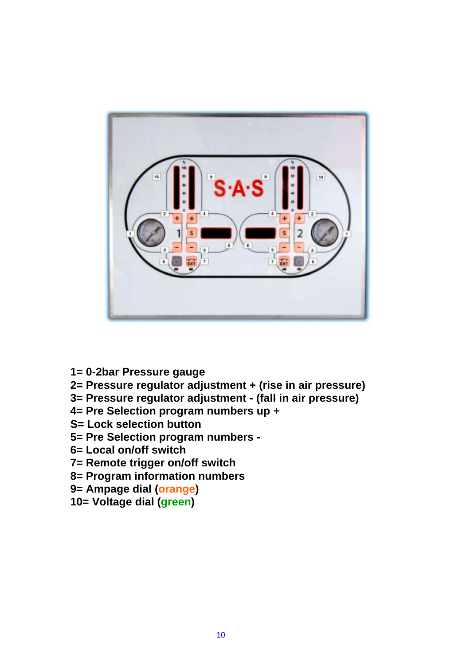

- **1= 0-2bar Pressure gauge**
- **2= Pressure regulator adjustment + (rise in air pressure)**
- **3= Pressure regulator adjustment (fall in air pressure)**
- **4= Pre Selection program numbers up +**
- **S= Lock selection button**
- **5= Pre Selection program numbers**
- **6= Local on/off switch**
- **7= Remote trigger on/off switch**
- **8= Program information numbers**
- **9= Ampage dial (orange)**
- **10= Voltage dial (green)**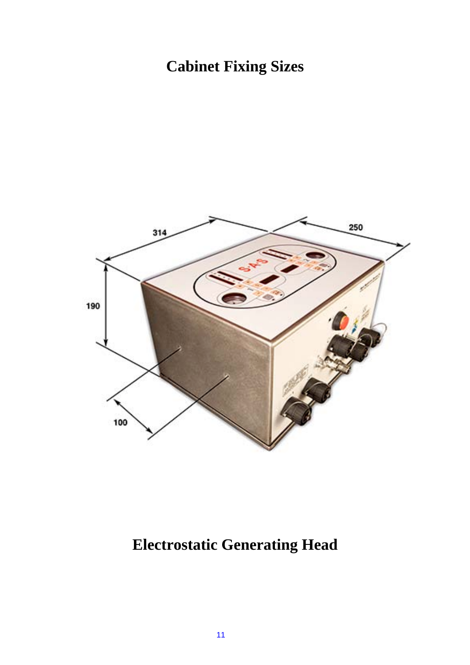# **Cabinet Fixing Sizes**



# **Electrostatic Generating Head**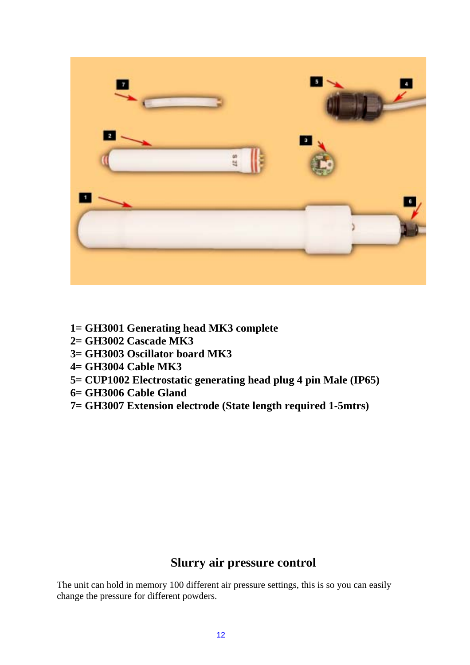

- **1= GH3001 Generating head MK3 complete**
- **2= GH3002 Cascade MK3**
- **3= GH3003 Oscillator board MK3**
- **4= GH3004 Cable MK3**
- **5= CUP1002 Electrostatic generating head plug 4 pin Male (IP65)**
- **6= GH3006 Cable Gland**
- **7= GH3007 Extension electrode (State length required 1-5mtrs)**

## **Slurry air pressure control**

The unit can hold in memory 100 different air pressure settings, this is so you can easily change the pressure for different powders.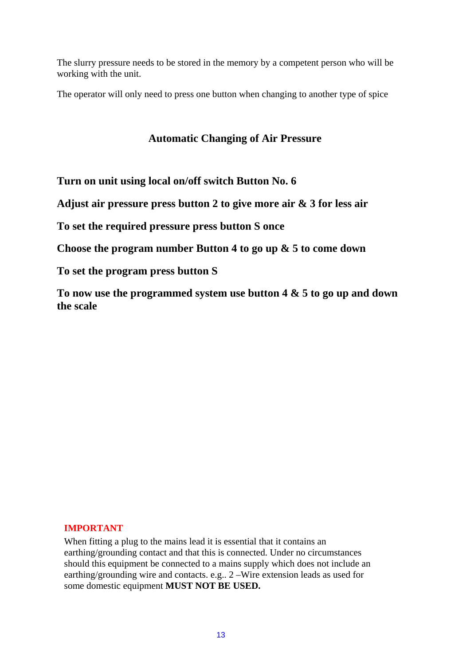The slurry pressure needs to be stored in the memory by a competent person who will be working with the unit.

The operator will only need to press one button when changing to another type of spice

## **Automatic Changing of Air Pressure**

**Turn on unit using local on/off switch Button No. 6** 

**Adjust air pressure press button 2 to give more air & 3 for less air** 

**To set the required pressure press button S once** 

**Choose the program number Button 4 to go up & 5 to come down**

**To set the program press button S** 

**To now use the programmed system use button 4 & 5 to go up and down the scale** 

#### **IMPORTANT**

When fitting a plug to the mains lead it is essential that it contains an earthing/grounding contact and that this is connected. Under no circumstances should this equipment be connected to a mains supply which does not include an earthing/grounding wire and contacts. e.g.. 2 –Wire extension leads as used for some domestic equipment **MUST NOT BE USED.**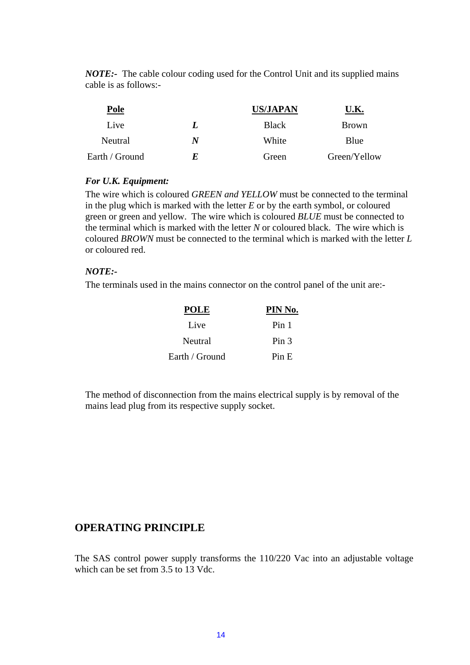*NOTE:-* The cable colour coding used for the Control Unit and its supplied mains cable is as follows:-

| Pole           |   | <b>US/JAPAN</b> | U.K.         |
|----------------|---|-----------------|--------------|
| Live           | L | <b>Black</b>    | <b>Brown</b> |
| Neutral        | N | White           | Blue         |
| Earth / Ground | F | Green           | Green/Yellow |

#### *For U.K. Equipment:*

The wire which is coloured *GREEN and YELLOW* must be connected to the terminal in the plug which is marked with the letter *E* or by the earth symbol, or coloured green or green and yellow. The wire which is coloured *BLUE* must be connected to the terminal which is marked with the letter *N* or coloured black. The wire which is coloured *BROWN* must be connected to the terminal which is marked with the letter *L* or coloured red.

#### *NOTE:-*

The terminals used in the mains connector on the control panel of the unit are:-

| <b>POLE</b>    | PIN No.          |
|----------------|------------------|
| Live           | Pin 1            |
| Neutral        | Pin <sub>3</sub> |
| Earth / Ground | Pin E            |

The method of disconnection from the mains electrical supply is by removal of the mains lead plug from its respective supply socket.

## **OPERATING PRINCIPLE**

The SAS control power supply transforms the 110/220 Vac into an adjustable voltage which can be set from 3.5 to 13 Vdc.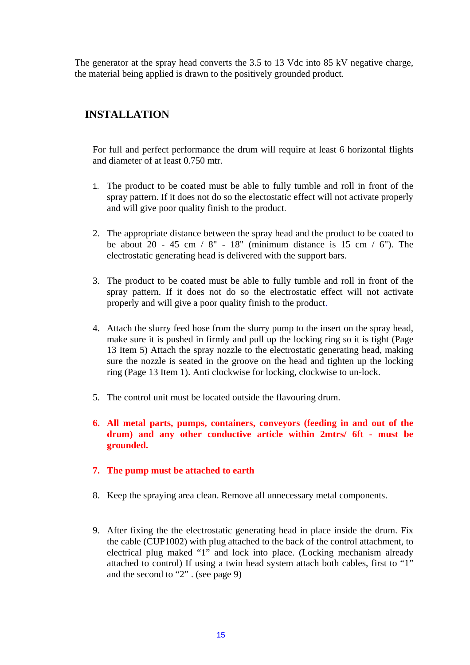The generator at the spray head converts the 3.5 to 13 Vdc into 85 kV negative charge, the material being applied is drawn to the positively grounded product.

### **INSTALLATION**

 For full and perfect performance the drum will require at least 6 horizontal flights and diameter of at least 0.750 mtr.

- 1. The product to be coated must be able to fully tumble and roll in front of the spray pattern. If it does not do so the electostatic effect will not activate properly and will give poor quality finish to the product.
- 2. The appropriate distance between the spray head and the product to be coated to be about 20 - 45 cm  $/ 8$ " - 18" (minimum distance is 15 cm  $/ 6$ "). The electrostatic generating head is delivered with the support bars.
- 3. The product to be coated must be able to fully tumble and roll in front of the spray pattern. If it does not do so the electrostatic effect will not activate properly and will give a poor quality finish to the product.
- 4. Attach the slurry feed hose from the slurry pump to the insert on the spray head, make sure it is pushed in firmly and pull up the locking ring so it is tight (Page 13 Item 5) Attach the spray nozzle to the electrostatic generating head, making sure the nozzle is seated in the groove on the head and tighten up the locking ring (Page 13 Item 1). Anti clockwise for locking, clockwise to un-lock.
- 5. The control unit must be located outside the flavouring drum.
- **6. All metal parts, pumps, containers, conveyors (feeding in and out of the drum) and any other conductive article within 2mtrs/ 6ft - must be grounded.**
- **7. The pump must be attached to earth**
- 8. Keep the spraying area clean. Remove all unnecessary metal components.
- 9. After fixing the the electrostatic generating head in place inside the drum. Fix the cable (CUP1002) with plug attached to the back of the control attachment, to electrical plug maked "1" and lock into place. (Locking mechanism already attached to control) If using a twin head system attach both cables, first to "1" and the second to "2" . (see page 9)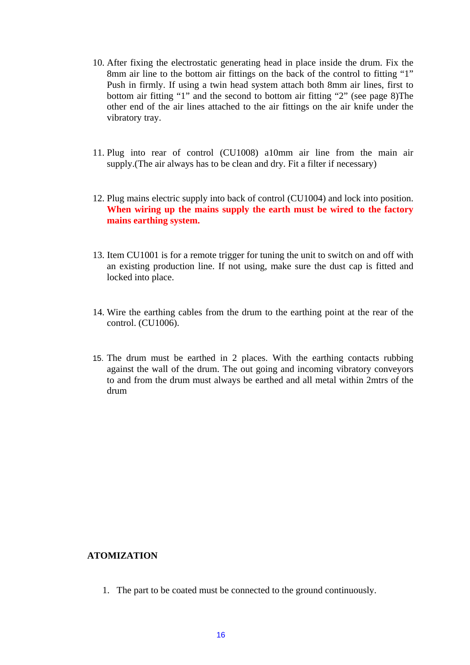- 10. After fixing the electrostatic generating head in place inside the drum. Fix the 8mm air line to the bottom air fittings on the back of the control to fitting "1" Push in firmly. If using a twin head system attach both 8mm air lines, first to bottom air fitting "1" and the second to bottom air fitting "2" (see page 8)The other end of the air lines attached to the air fittings on the air knife under the vibratory tray.
- 11. Plug into rear of control (CU1008) a10mm air line from the main air supply.(The air always has to be clean and dry. Fit a filter if necessary)
- 12. Plug mains electric supply into back of control (CU1004) and lock into position. **When wiring up the mains supply the earth must be wired to the factory mains earthing system.**
- 13. Item CU1001 is for a remote trigger for tuning the unit to switch on and off with an existing production line. If not using, make sure the dust cap is fitted and locked into place.
- 14. Wire the earthing cables from the drum to the earthing point at the rear of the control. (CU1006).
- 15. The drum must be earthed in 2 places. With the earthing contacts rubbing against the wall of the drum. The out going and incoming vibratory conveyors to and from the drum must always be earthed and all metal within 2mtrs of the drum

#### **ATOMIZATION**

1. The part to be coated must be connected to the ground continuously.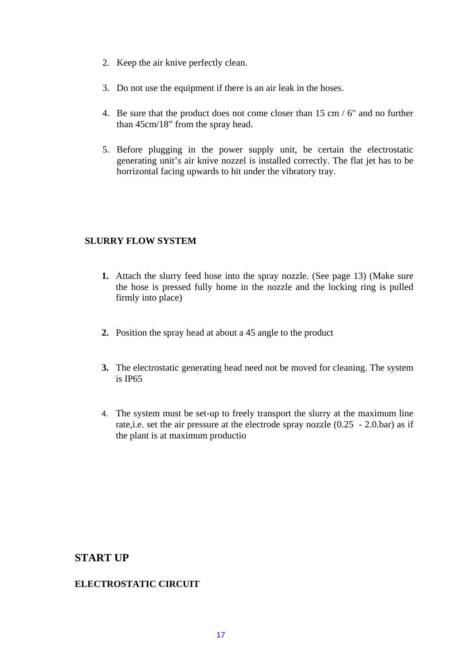- 2. Keep the air knive perfectly clean.
- 3. Do not use the equipment if there is an air leak in the hoses.
- 4. Be sure that the product does not come closer than 15 cm / 6" and no further than 45cm/18" from the spray head.
- 5. Before plugging in the power supply unit, be certain the electrostatic generating unit's air knive nozzel is installed correctly. The flat jet has to be horrizontal facing upwards to hit under the vibratory tray.

#### **SLURRY FLOW SYSTEM**

- **1.** Attach the slurry feed hose into the spray nozzle. (See page 13) (Make sure the hose is pressed fully home in the nozzle and the locking ring is pulled firmly into place)
- **2.** Position the spray head at about a 45 angle to the product
- **3.** The electrostatic generating head need not be moved for cleaning. The system is IP65
- 4. The system must be set-up to freely transport the slurry at the maximum line rate,i.e. set the air pressure at the electrode spray nozzle (0.25 - 2.0.bar) as if the plant is at maximum productio

## **START UP**

#### **ELECTROSTATIC CIRCUIT**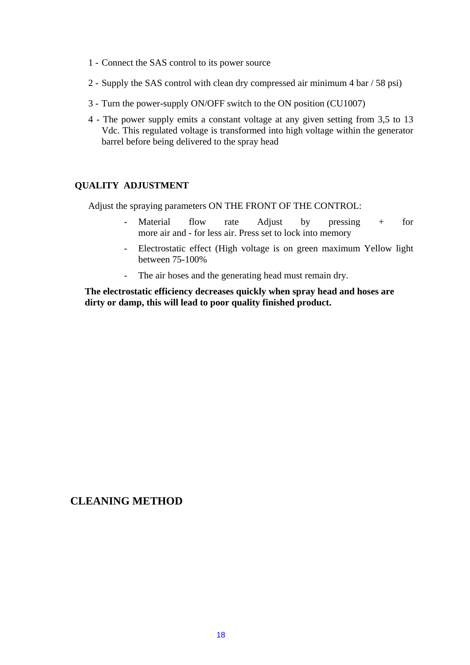- 1 Connect the SAS control to its power source
- 2 Supply the SAS control with clean dry compressed air minimum 4 bar / 58 psi)
- 3 Turn the power-supply ON/OFF switch to the ON position (CU1007)
- 4 The power supply emits a constant voltage at any given setting from 3,5 to 13 Vdc. This regulated voltage is transformed into high voltage within the generator barrel before being delivered to the spray head

#### **QUALITY ADJUSTMENT**

Adjust the spraying parameters ON THE FRONT OF THE CONTROL:

- Material flow rate Adjust by pressing + for more air and - for less air. Press set to lock into memory
- Electrostatic effect (High voltage is on green maximum Yellow light between 75-100%
- The air hoses and the generating head must remain dry.

**The electrostatic efficiency decreases quickly when spray head and hoses are dirty or damp, this will lead to poor quality finished product.** 

### **CLEANING METHOD**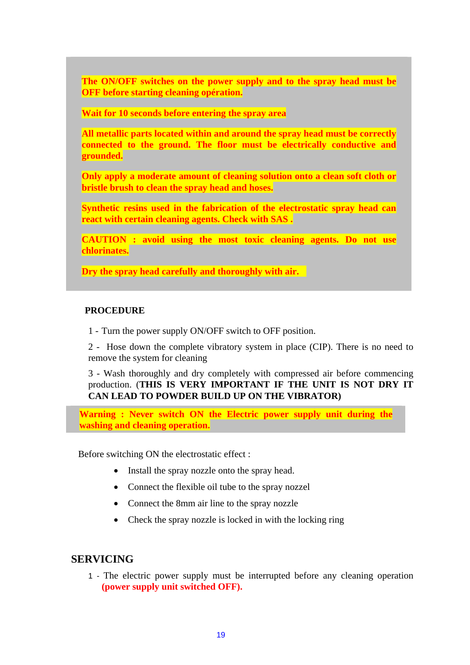**The ON/OFF switches on the power supply and to the spray head must be OFF before starting cleaning opération.** 

**Wait for 10 seconds before entering the spray area** 

**All metallic parts located within and around the spray head must be correctly connected to the ground. The floor must be electrically conductive and grounded.** 

**Only apply a moderate amount of cleaning solution onto a clean soft cloth or bristle brush to clean the spray head and hoses.** 

**Synthetic resins used in the fabrication of the electrostatic spray head can react with certain cleaning agents. Check with SAS .** 

**CAUTION : avoid using the most toxic cleaning agents. Do not use chlorinates.** 

**Dry the spray head carefully and thoroughly with air.**

#### **PROCEDURE**

1 - Turn the power supply ON/OFF switch to OFF position.

2 - Hose down the complete vibratory system in place (CIP). There is no need to remove the system for cleaning

3 - Wash thoroughly and dry completely with compressed air before commencing production. (**THIS IS VERY IMPORTANT IF THE UNIT IS NOT DRY IT CAN LEAD TO POWDER BUILD UP ON THE VIBRATOR)** 

**Warning : Never switch ON the Electric power supply unit during the washing and cleaning operation.** 

Before switching ON the electrostatic effect :

- Install the spray nozzle onto the spray head.
- Connect the flexible oil tube to the spray nozzel
- Connect the 8mm air line to the spray nozzle
- Check the spray nozzle is locked in with the locking ring

#### **SERVICING**

1 - The electric power supply must be interrupted before any cleaning operation **(power supply unit switched OFF).**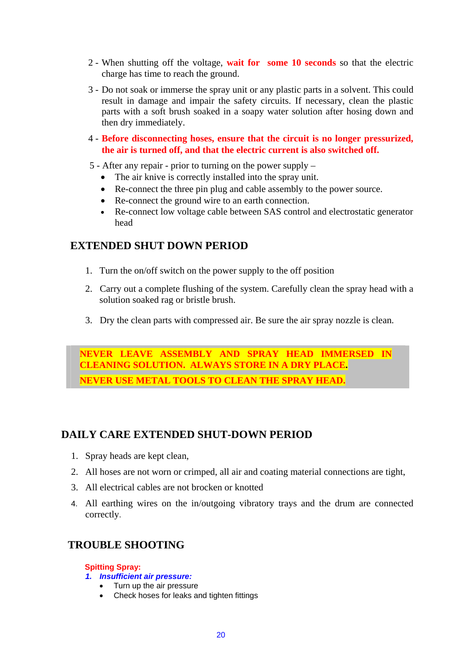- 2 When shutting off the voltage, **wait for some 10 seconds** so that the electric charge has time to reach the ground.
- 3 Do not soak or immerse the spray unit or any plastic parts in a solvent. This could result in damage and impair the safety circuits. If necessary, clean the plastic parts with a soft brush soaked in a soapy water solution after hosing down and then dry immediately.
- 4 **Before disconnecting hoses, ensure that the circuit is no longer pressurized, the air is turned off, and that the electric current is also switched off.**
- 5 After any repair prior to turning on the power supply
	- The air knive is correctly installed into the spray unit.
	- Re-connect the three pin plug and cable assembly to the power source.
	- Re-connect the ground wire to an earth connection.
	- Re-connect low voltage cable between SAS control and electrostatic generator head

## **EXTENDED SHUT DOWN PERIOD**

- 1. Turn the on/off switch on the power supply to the off position
- 2. Carry out a complete flushing of the system. Carefully clean the spray head with a solution soaked rag or bristle brush.
- 3. Dry the clean parts with compressed air. Be sure the air spray nozzle is clean.

**NEVER LEAVE ASSEMBLY AND SPRAY HEAD IMMERSED IN CLEANING SOLUTION. ALWAYS STORE IN A DRY PLACE. NEVER USE METAL TOOLS TO CLEAN THE SPRAY HEAD.**

## **DAILY CARE EXTENDED SHUT-DOWN PERIOD**

- 1. Spray heads are kept clean,
- 2. All hoses are not worn or crimped, all air and coating material connections are tight,
- 3. All electrical cables are not brocken or knotted
- 4. All earthing wires on the in/outgoing vibratory trays and the drum are connected correctly.

## **TROUBLE SHOOTING**

**Spitting Spray:** 

#### *1. Insufficient air pressure:*

- Turn up the air pressure
- Check hoses for leaks and tighten fittings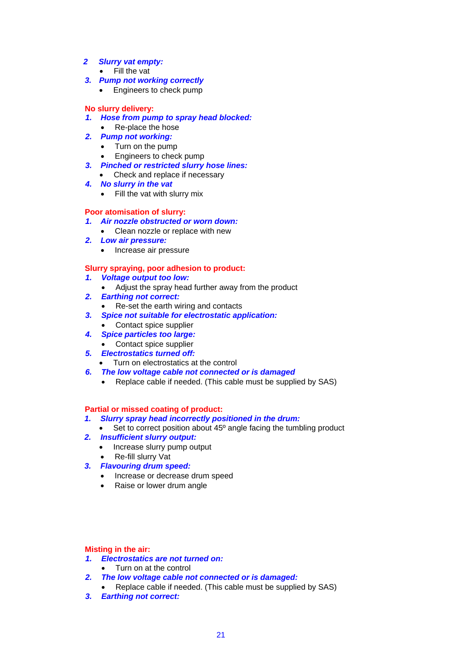#### *2 Slurry vat empty:*

- Fill the vat
- *3. Pump not working correctly* 
	- Engineers to check pump

#### **No slurry delivery:**

- *1. Hose from pump to spray head blocked:* 
	- Re-place the hose
- *2. Pump not working:* 
	- Turn on the pump<br>• Engineers to chec
	- Engineers to check pump
- *3. Pinched or restricted slurry hose lines:* 
	- Check and replace if necessary
- *4. No slurry in the vat* 
	- Fill the vat with slurry mix

#### **Poor atomisation of slurry:**

- *1. Air nozzle obstructed or worn down:*
- Clean nozzle or replace with new
- *2. Low air pressure:* 
	- Increase air pressure

#### **Slurry spraying, poor adhesion to product:**

- *1. Voltage output too low:*
- Adjust the spray head further away from the product
- *2. Earthing not correct:* 
	- Re-set the earth wiring and contacts
- *3. Spice not suitable for electrostatic application:* 
	- Contact spice supplier
- *4. Spice particles too large:*
- Contact spice supplier
- *5. Electrostatics turned off:* 
	- Turn on electrostatics at the control
- *6. The low voltage cable not connected or is damaged* 
	- Replace cable if needed. (This cable must be supplied by SAS)

#### **Partial or missed coating of product:**

- *1. Slurry spray head incorrectly positioned in the drum:*
- Set to correct position about 45<sup>°</sup> angle facing the tumbling product
- *2. Insufficient slurry output:* 
	- Increase slurry pump output
	- Re-fill slurry Vat
- *3. Flavouring drum speed:* 
	- Increase or decrease drum speed
	- Raise or lower drum angle

#### **Misting in the air:**

- *1. Electrostatics are not turned on:* 
	- Turn on at the control
- *2. The low voltage cable not connected or is damaged:* 
	- Replace cable if needed. (This cable must be supplied by SAS)
- *3. Earthing not correct:*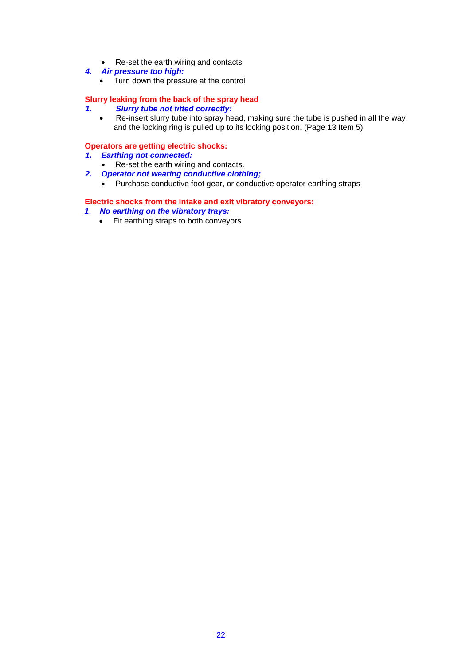- Re-set the earth wiring and contacts
- *4. Air pressure too high:* 
	- Turn down the pressure at the control

#### **Slurry leaking from the back of the spray head**

- *1. Slurry tube not fitted correctly:*
	- Re-insert slurry tube into spray head, making sure the tube is pushed in all the way and the locking ring is pulled up to its locking position. (Page 13 Item 5)

#### **Operators are getting electric shocks:**

- *1. Earthing not connected:*
- Re-set the earth wiring and contacts.
- *2. Operator not wearing conductive clothing;* 
	- Purchase conductive foot gear, or conductive operator earthing straps

#### **Electric shocks from the intake and exit vibratory conveyors:**

- *1*. *No earthing on the vibratory trays:*
	- Fit earthing straps to both conveyors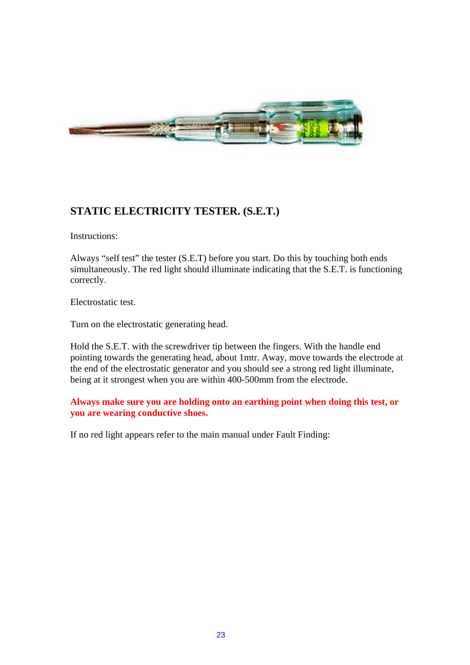

## **STATIC ELECTRICITY TESTER. (S.E.T.)**

Instructions:

Always "self test" the tester (S.E.T) before you start. Do this by touching both ends simultaneously. The red light should illuminate indicating that the S.E.T. is functioning correctly.

Electrostatic test.

Turn on the electrostatic generating head.

Hold the S.E.T. with the screwdriver tip between the fingers. With the handle end pointing towards the generating head, about 1mtr. Away, move towards the electrode at the end of the electrostatic generator and you should see a strong red light illuminate, being at it strongest when you are within 400-500mm from the electrode.

**Always make sure you are holding onto an earthing point when doing this test, or you are wearing conductive shoes.** 

If no red light appears refer to the main manual under Fault Finding: